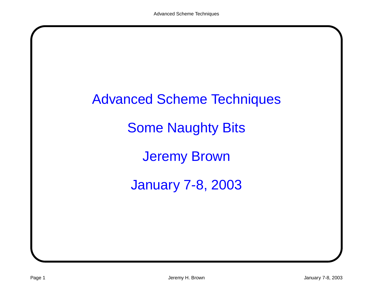# Advanced Scheme Techniques Some Naughty Bits Jeremy Brown January 7-8, 2003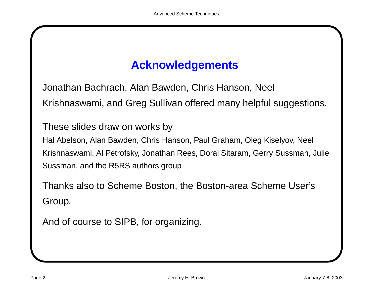# **Acknowledgements**

Jonathan Bachrach, Alan Bawden, Chris Hanson, Neel Krishnaswami, and Greg Sullivan offered many helpful suggestions.

These slides draw on works by Hal Abelson, Alan Bawden, Chris Hanson, Paul Graham, Oleg Kiselyov, Neel Krishnaswami, Al Petrofsky, Jonathan Rees, Dorai Sitaram, Gerry Sussman, Julie Sussman, and the R5RS authors group

Thanks also to Scheme Boston, the Boston-area Scheme User's Group.

And of course to SIPB, for organizing.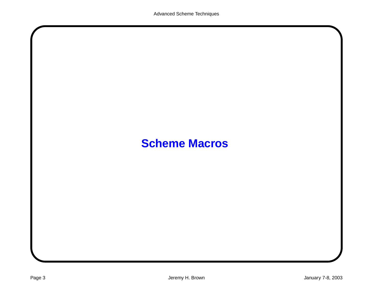# **Scheme Macros**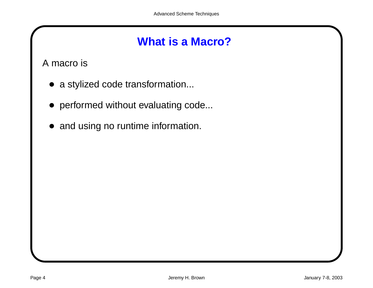A macro is

- a stylized code transformation...
- performed without evaluating code...
- and using no runtime information.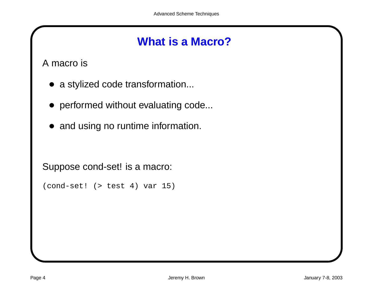A macro is

- a stylized code transformation...
- performed without evaluating code...
- and using no runtime information.

Suppose cond-set! is <sup>a</sup> macro:

```
(cond-set! (> test 4) var 15)
```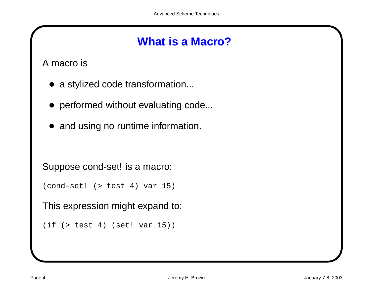A macro is

- a stylized code transformation...
- performed without evaluating code...
- and using no runtime information.

```
Suppose cond-set! is a macro:
```

```
(cond-set! (> test 4) var 15)
```
This expression might expand to:

```
(if (> test 4) (set! var 15))
```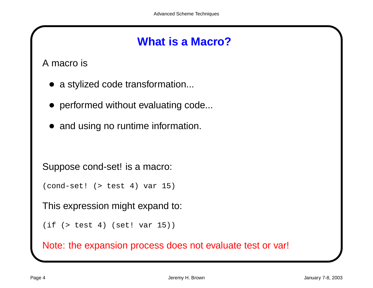A macro is

- a stylized code transformation...
- performed without evaluating code...
- and using no runtime information.

Suppose cond-set! is <sup>a</sup> macro:

```
(cond-set! (> test 4) var 15)
```
This expression might expand to:

```
(if (> test 4) (set! var 15))
```
Note: the expansion process does not evaluate test or var!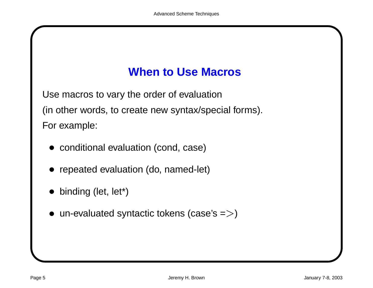# **When to Use Macros**

Use macros to vary the order of evaluation (in other words, to create new syntax/special forms). For example:

- conditional evaluation (cond, case)
- repeated evaluation (do, named-let)
- binding (let, let\*)
- $\bullet$  un-evaluated syntactic tokens (case's =>)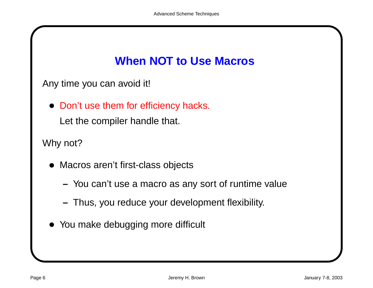# **When NOT to Use Macros**

Any time you can avoid it!

• Don't use them for efficiency hacks.

Let the compiler handle that.

Why not?

- Macros aren't first-class objects
	- You can't use <sup>a</sup> macro as any sort of runtime value
	- **–**Thus, you reduce your development flexibility.
- You make debugging more difficult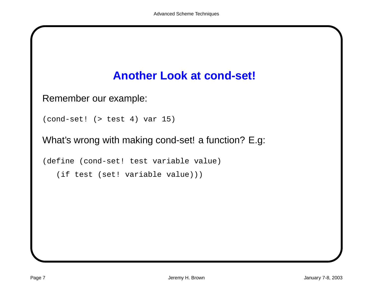## **Another Look at cond-set!**

Remember our example:

```
(cond-set! (> test 4) var 15)
```
What's wrong with making cond-set! <sup>a</sup> function? E.g:

```
(define (cond-set! test variable value)
```
(if test (set! variable value)))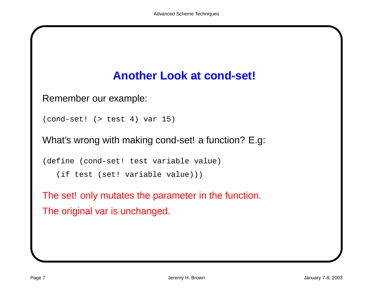## **Another Look at cond-set!**

Remember our example:

```
(cond-set! (> test 4) var 15)
```
What's wrong with making cond-set! a function? E.g:

```
(define (cond-set! test variable value)
```
(if test (set! variable value)))

The set! only mutates the parameter in the function. The original var is unchanged.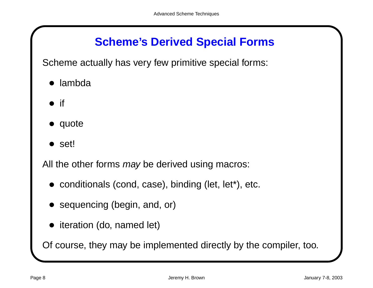# **Scheme's Derived Special Forms**

Scheme actually has very few primitive special forms:

- lambda
- $\bullet$  if
- quote
- set!

All the other forms may be derived using macros:

- conditionals (cond, case), binding (let, let\*), etc.
- sequencing (begin, and, or)
- iteration (do, named let)

Of course, they may be implemented directly by the compiler, too.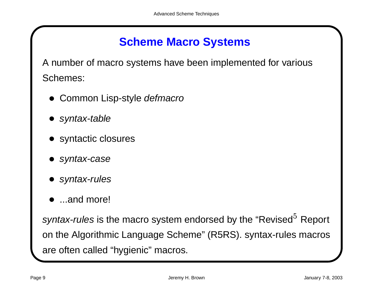# **Scheme Macro Systems**

A number of macro systems have been implemented for various Schemes:

- Common Lisp-style defmacro
- syntax-table
- syntactic closures
- syntax-case
- syntax-rules
- ...and more!

syntax-rules is the macro system endorsed by the "Revised $5$  Report on the Algorithmic Language Scheme" (R5RS). syntax-rules macros are often called "hygienic" macros.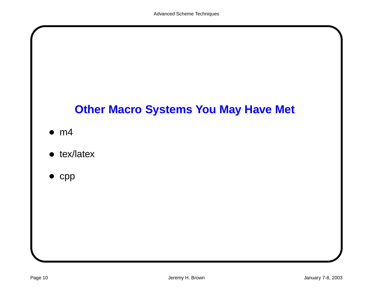# **Other Macro Systems You May Have Met**

- $\bullet$  m4
- tex/latex
- $\bullet$  cpp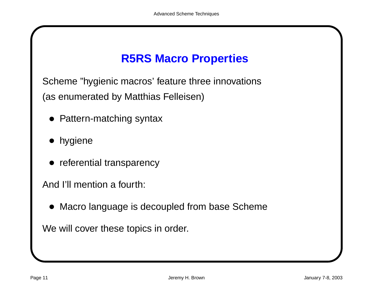# **R5RS Macro Properties**

Scheme "hygienic macros' feature three innovations (as enumerated by Matthias Felleisen)

- Pattern-matching syntax
- hygiene
- referential transparency

And I'll mention a fourth:

• Macro language is decoupled from base Scheme

We will cover these topics in order.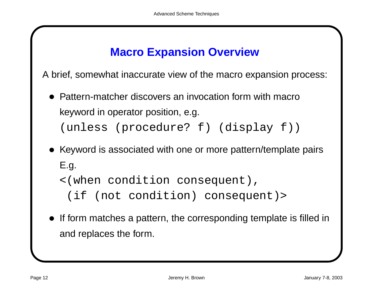## **Macro Expansion Overview**

A brief, somewhat inaccurate view of the macro expansion process:

- Pattern-matcher discovers an invocation form with macro keyword in operator position, e.g. (unless (procedure? f) (display f))
- Keyword is associated with one or more pattern/template pairs E.g.
	- <(when condition consequent),
		- (if (not condition) consequent)>
- If form matches a pattern, the corresponding template is filled in and replaces the form.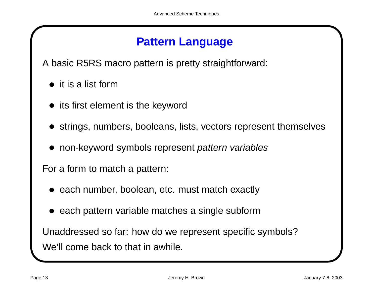## **Pattern Language**

A basic R5RS macro pattern is pretty straightforward:

- it is a list form
- its first element is the keyword
- strings, numbers, booleans, lists, vectors represent themselves
- non-keyword symbols represent pattern variables

For <sup>a</sup> form to match <sup>a</sup> pattern:

- each number, boolean, etc. must match exactly
- each pattern variable matches a single subform

Unaddressed so far: how do we represent specific symbols? We'll come back to that in awhile.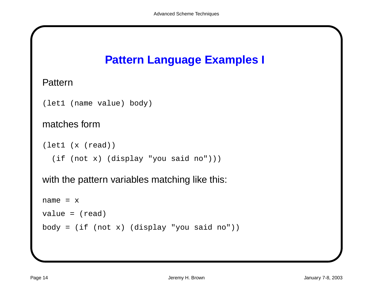# **Pattern Language Examples I**

#### **Pattern**

```
(let1 (name value) body)
```
#### matches form

```
(let1 (x (read))
  (if (not x) (display "you said no")))
```
with the pattern variables matching like this:

```
name = xvalue = (read)
body = (if (not x) (display "you said no"))
```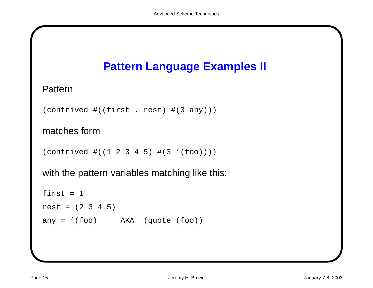

#### **Pattern**

```
(contrived #((first . rest) #(3 any)))
```
#### matches form

```
(contrived #((1 2 3 4 5) #(3 '(foo))))
```
with the pattern variables matching like this:

```
first = 1rest = (2 \ 3 \ 4 \ 5)any = '(foo) AKA (quote (foo))
```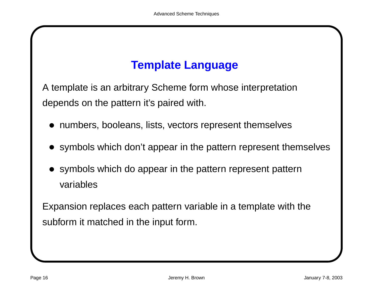# **Template Language**

A template is an arbitrary Scheme form whose interpretation depends on the pattern it's paired with.

- numbers, booleans, lists, vectors represent themselves
- symbols which don't appear in the pattern represent themselves
- symbols which do appear in the pattern represent pattern variables

Expansion replaces each pattern variable in <sup>a</sup> template with the subform it matched in the input form.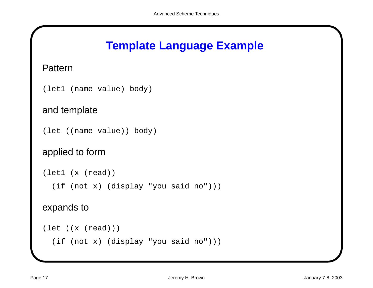#### **Template Language Example**

#### **Pattern**

```
(let1 (name value) body)
```
#### and template

```
(let ((name value)) body)
```
#### applied to form

```
(let1 (x (read))
  (if (not x) (display "you said no")))
expands to
```

```
(let ((x (read)))
  (if (not x) (display "you said no")))
```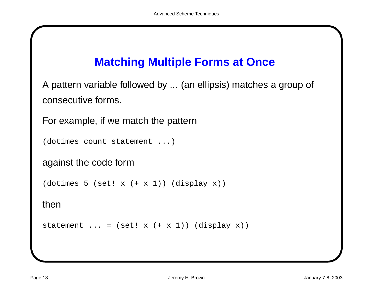## **Matching Multiple Forms at Once**

A pattern variable followed by ... (an ellipsis) matches <sup>a</sup> group of consecutive forms.

For example, if we match the pattern

```
(dotimes count statement ...)
```
against the code form

 $(dotimes 5 (set! x (+ x 1)) (display x))$ 

then

statement  $\ldots$  = (set! x (+ x 1)) (display x))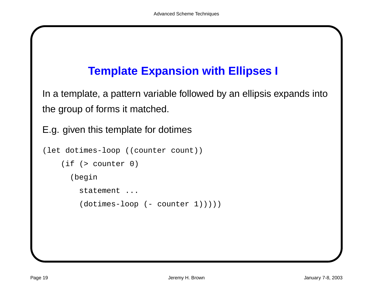# **Template Expansion with Ellipses I**

In <sup>a</sup> template, <sup>a</sup> pattern variable followed by an ellipsis expands into the group of forms it matched.

E.g. given this template for dotimes

```
(let dotimes-loop ((counter count))
    (if (> counter 0)
      (begin
        statement ...
        (dotimes-loop (- counter 1)))))
```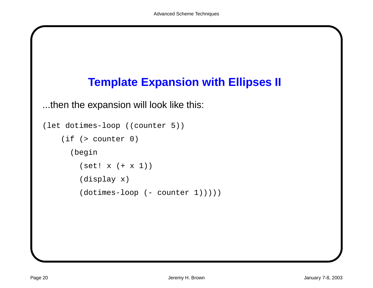

...then the expansion will look like this:

```
(let dotimes-loop ((counter 5))
    (if (> counter 0)
      (begin
        (set! x (+ x 1))
        (display x)
        (dotimes-loop (-counter 1))))
```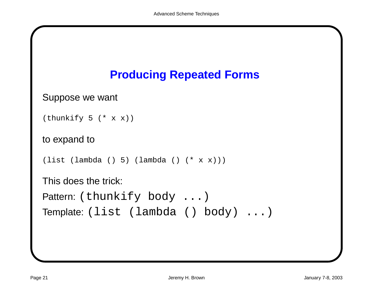

```
Suppose we want
```

```
(thunkify 5 (* x x))
```

```
to expand to
```

```
(list (lambda () 5) (lambda () (* x x)))
```

```
This does the trick:
```

```
Pattern: (thunkify body ...)
```

```
Template: (list (lambda () body) ...)
```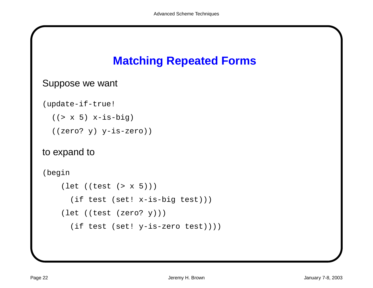## **Matching Repeated Forms**

#### Suppose we want

```
(update-if-true!
```

```
((> x 5) x-is-big)
```

```
((zero? y) y-is-zero))
```
#### to expand to

(begin

```
(let ((test (> x 5)))
 (if test (set! x-is-big test)))
(let ((test (zero? y)))
 (if test (set! y-is-zero test))))
```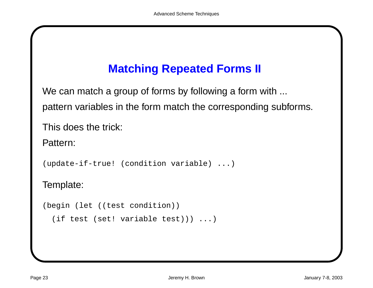# **Matching Repeated Forms II**

We can match a group of forms by following a form with ... pattern variables in the form match the corresponding subforms.

This does the trick:

Pattern:

(update-if-true! (condition variable) ...)

Template:

```
(begin (let ((test condition))
```

```
(if test (set! variable test))) ...)
```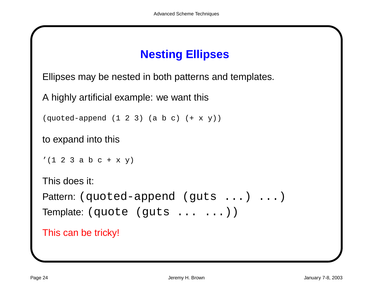## **Nesting Ellipses**

Ellipses may be nested in both patterns and templates.

A highly artificial example: we want this

```
(\text{quoted-append} (1 2 3) (\text{a b c}) (+ x y))
```
to expand into this

 $'(1 2 3 a b c + x y)$ 

This does it:

```
Pattern: (quoted-append (guts ...) ...)
Template: (quote (guts ... ...))
```
This can be tricky!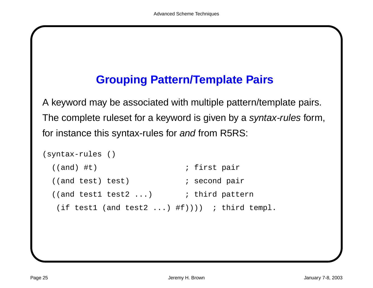## **Grouping Pattern/Template Pairs**

A keyword may be associated with multiple pattern/template pairs. The complete ruleset for a keyword is given by a syntax-rules form, for instance this syntax-rules for and from R5RS:

```
(syntax-rules ()
 ((and) #t) \qquad \qquad ; first pair
 ((and test) test) \qquad \qquad ; second pair
 ((and test1 test2 ...) ; third pattern
  (if test1 (and test2 \ldots) #f)))) ; third templ.
```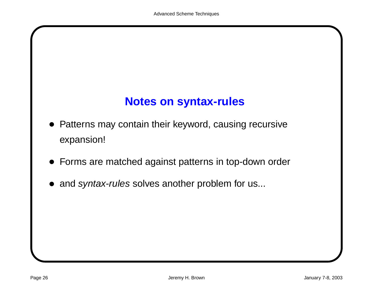## **Notes on syntax-rules**

- Patterns may contain their keyword, causing recursive expansion!
- Forms are matched against patterns in top-down order
- and syntax-rules solves another problem for us...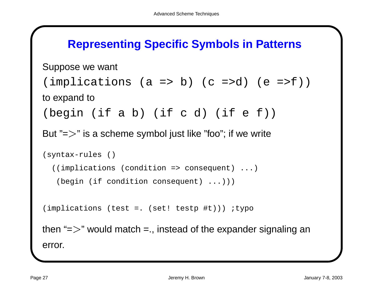#### **Representing Specific Symbols in Patterns**

```
Suppose we want
(\text{implications} (a \Rightarrow b) (c \Rightarrow d) (e \Rightarrow f))to expand to
(begin (if a b) (if c d) (if e f))
But "=\gt" is a scheme symbol just like "foo"; if we write
(syntax-rules ()
  ((implications (condition => consequent) ...)
   (begin (if condition consequent) ...)))
(implications (test =. (set! testp #t))) ;typo
then "=\gt" would match =., instead of the expander signaling an
```
error.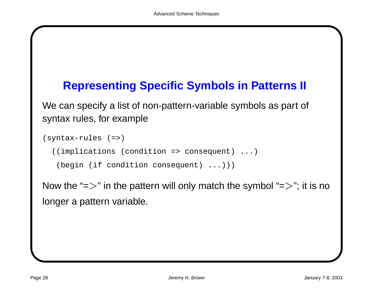### **Representing Specific Symbols in Patterns II**

We can specify <sup>a</sup> list of non-pattern-variable symbols as part of syntax rules, for example

```
(syntax-rules (=>)
  ((implications (condition => consequent) ...)
   (begin (if condition consequent) ...)))
```
Now the "= $\!>$ " in the pattern will only match the symbol "= $\!>$ "; it is no longer <sup>a</sup> pattern variable.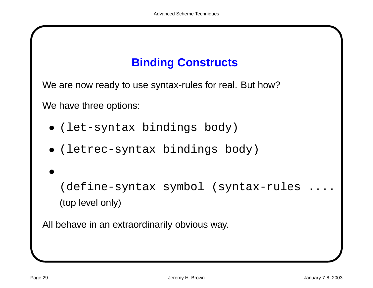# **Binding Constructs**

We are now ready to use syntax-rules for real. But how?

We have three options:

- (let-syntax bindings body)
- (letrec-syntax bindings body)  $\ddot{\phantom{0}}$
- (define-syntax symbol (syntax-rules .... (top level only)

All behave in an extraordinarily obvious way.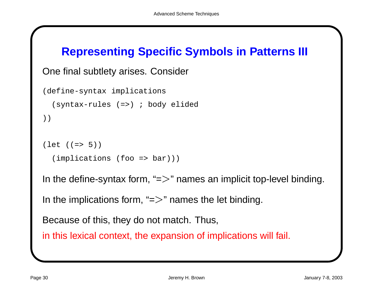#### **Representing Specific Symbols in Patterns III**

```
One final subtlety arises. Consider
```

```
(define-syntax implications
  (syntax-rules (=>) ; body elided
))
(\text{let } ((=&5)))(implications (foo => bar)))
```
In the define-syntax form, " $\equiv$   $>$ " names an implicit top-level binding.

In the implications form, " $\Rightarrow$ " names the let binding.

Because of this, they do not match. Thus,

in this lexical context, the expansion of implications will fail.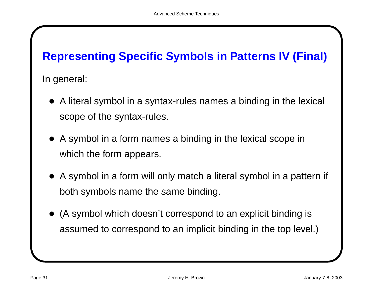# **Representing Specific Symbols in Patterns IV (Final)**

In general:

- A literal symbol in <sup>a</sup> syntax-rules names <sup>a</sup> binding in the lexical scope of the syntax-rules.
- A symbol in <sup>a</sup> form names <sup>a</sup> binding in the lexical scope in which the form appears.
- A symbol in <sup>a</sup> form will only match <sup>a</sup> literal symbol in <sup>a</sup> pattern if both symbols name the same binding.
- (A symbol which doesn't correspond to an explicit binding is assumed to correspond to an implicit binding in the top level.)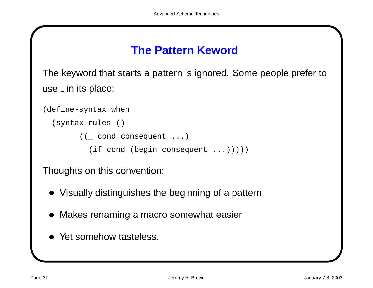#### **The Pattern Keword**

The keyword that starts <sup>a</sup> pattern is ignored. Some people prefer to use \_ in its place:

```
(define-syntax when
  (syntax-rules ()
        ((_ cond consequent ...)
          (if cond (begin consequent \ldots)))))
```
Thoughts on this convention:

- Visually distinguishes the beginning of <sup>a</sup> pattern
- Makes renaming <sup>a</sup> macro somewhat easier
- Yet somehow tasteless.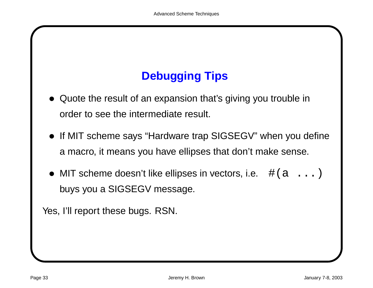# **Debugging Tips**

- Quote the result of an expansion that's giving you trouble in order to see the intermediate result.
- If MIT scheme says "Hardware trap SIGSEGV" when you define <sup>a</sup> macro, it means you have ellipses that don't make sense.
- MIT scheme doesn't like ellipses in vectors, i.e.  $\#(a \ldots)$ buys you <sup>a</sup> SIGSEGV message.

Yes, I'll report these bugs. RSN.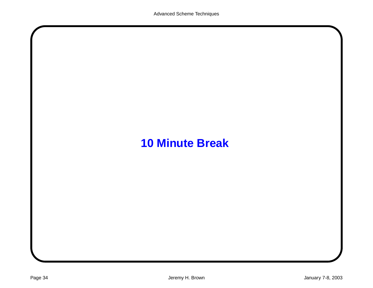# **10 Minute Break**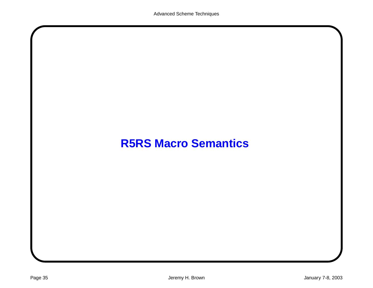### **R5RS Macro Semantics**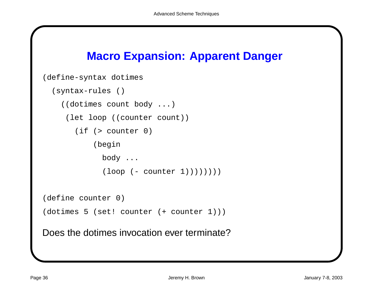#### **Macro Expansion: Apparent Danger**

```
(define-syntax dotimes
  (syntax-rules ()
    ((dotimes count body ...)
     (let loop ((counter count))
       (if (> counter 0)
           (begin
             body ...
             (logo p (- counter 1))))))(define counter 0)
(dotimes 5 (set! counter (+ counter 1)))
Does the dotimes invocation ever terminate?
```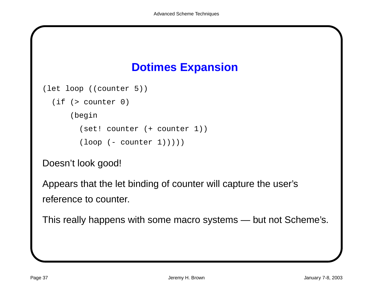# **Dotimes Expansion**

```
(let loop ((counter 5))
```

```
(if (> counter 0)
```
(begin

```
(set! counter (+ counter 1))
```

```
(logo p (- counter 1))))
```
Doesn't look good!

Appears that the let binding of counter will capture the user's reference to counter.

This really happens with some macro systems — but not Scheme's.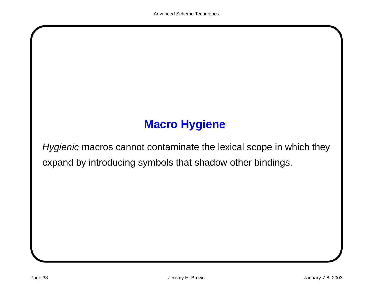# **Macro Hygiene**

Hygienic macros cannot contaminate the lexical scope in which they expand by introducing symbols that shadow other bindings.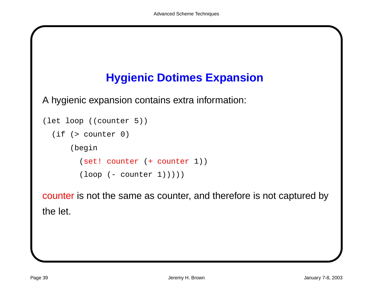# **Hygienic Dotimes Expansion**

A hygienic expansion contains extra information:

```
(let loop ((counter 5))
  (if (> counter 0)
      (begin
        (set! counter (+ counter 1))
        (logo) (- counter 1)))))
```
counter is not the same as counter, and therefore is not captured by the let.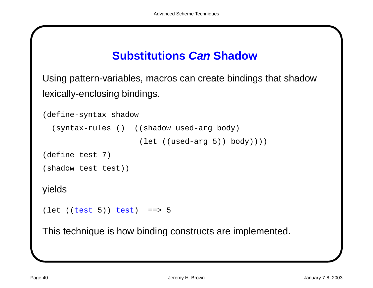### **Substitutions Can Shadow**

Using pattern-variables, macros can create bindings that shadow lexically-enclosing bindings.

```
(define-syntax shadow
  (syntax-rules () ((shadow used-arg body)
                     (let ((used-arg 5)) body))))
(define test 7)
(shadow test test))
yields
(left (test 5)) test = 5
```
This technique is how binding constructs are implemented.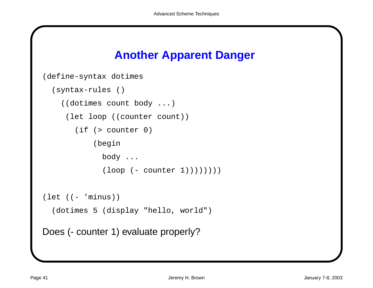### **Another Apparent Danger**

```
(define-syntax dotimes
  (syntax-rules ()
    ((dotimes count body ...)
     (let loop ((counter count))
       (if (> counter 0)
            (begin
              body ...
              (loop (- counter 1))))))))
(\text{let } (( - \text{'minus}))(dotimes 5 (display "hello, world")
Does (- counter 1) evaluate properly?
```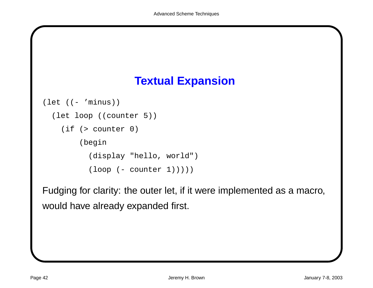

```
(\text{let } (( - \text{'minus}))(let loop ((counter 5))
    (if (> counter 0)
         (begin
           (display "hello, world")
           (loop (- counter 1))))
```
Fudging for clarity: the outer let, if it were implemented as <sup>a</sup> macro, would have already expanded first.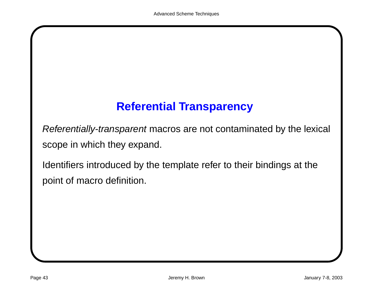### **Referential Transparency**

Referentially-transparent macros are not contaminated by the lexical scope in which they expand.

Identifiers introduced by the template refer to their bindings at the point of macro definition.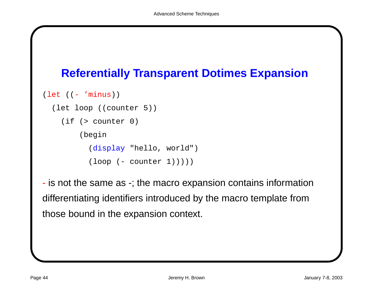### **Referentially Transparent Dotimes Expansion**

```
(let ((- 'minus))
```

```
(let loop ((counter 5))
```

```
(if (> counter 0)
```
(begin

```
(display "hello, world")
```

```
(logo p (- counter 1))))
```
- is not the same as -; the macro expansion contains information differentiating identifiers introduced by the macro template from those bound in the expansion context.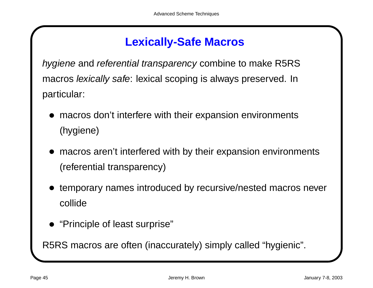### **Lexically-Safe Macros**

hygiene and referential transparency combine to make R5RS macros lexically safe: lexical scoping is always preserved. In particular:

- macros don't interfere with their expansion environments (hygiene)
- macros aren't interfered with by their expansion environments (referential transparency)
- temporary names introduced by recursive/nested macros never collide
- "Principle of least surprise"

R5RS macros are often (inaccurately) simply called "hygienic".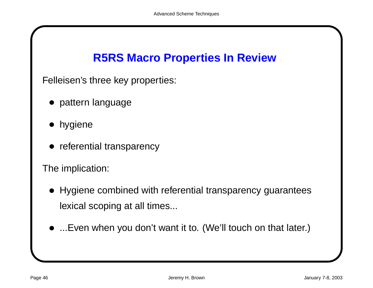# **R5RS Macro Properties In Review**

Felleisen's three key properties:

- pattern language
- hygiene
- referential transparency

The implication:

- Hygiene combined with referential transparency guarantees lexical scoping at all times...
- ...Even when you don't want it to. (We'll touch on that later.)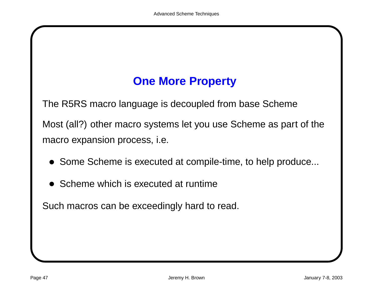### **One More Property**

The R5RS macro language is decoupled from base Scheme

Most (all?) other macro systems let you use Scheme as part of the macro expansion process, i.e.

- Some Scheme is executed at compile-time, to help produce...
- Scheme which is executed at runtime

Such macros can be exceedingly hard to read.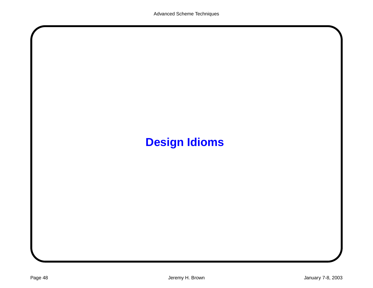# **Design Idioms**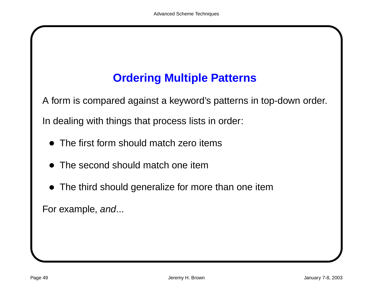# **Ordering Multiple Patterns**

A form is compared against <sup>a</sup> keyword's patterns in top-down order.

In dealing with things that process lists in order:

- The first form should match zero items
- The second should match one item
- The third should generalize for more than one item

For example, and...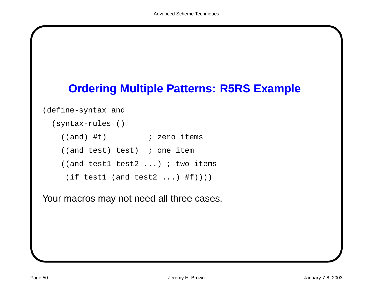

```
(define-syntax and
```

```
(syntax-rules ()
  ((and) #t) \qquad \qquad ; zero items
  ((and test) test) ; one item
  ((and test1 test2 ...) ; two items
  (if test1 (and test2 ...) #f)))
```
Your macros may not need all three cases.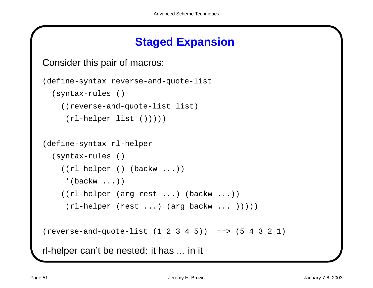### **Staged Expansion**

```
Consider this pair of macros:
```

```
(define-syntax reverse-and-quote-list
  (syntax-rules ()
    ((reverse-and-quote-list list)
     (rl-helper list ())))
(define-syntax rl-helper
  (syntax-rules ()
    ((rl-helper () (backw ...))
     '(\text{backw} \dots)((rl-helper (arg rest ...) (backw ...))
     (rl-helper (rest ...) (arg backw ... )))))
(reverse-and-quote-list (1 2 3 4 5)) ==> (5 4 3 2 1)
rl-helper can't be nested: it has ... in it
```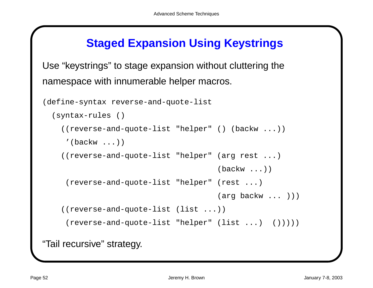### **Staged Expansion Using Keystrings**

Use "keystrings" to stage expansion without cluttering the namespace with innumerable helper macros.

```
(define-syntax reverse-and-quote-list
  (syntax-rules ()
    ((reverse-and-quote-list "helper" () (backw ...))
     '(\text{backw} \dots)((reverse-and-quote-list "helper" (arg rest ...)
                                        (backw ...))
     (reverse-and-quote-list "helper" (rest ...)
                                        (arg backw ... )))
    ((reverse-and-quote-list (list ...))
     (reverse-and-quote-list "helper" (list ...) ()))))
"Tail recursive" strategy.
```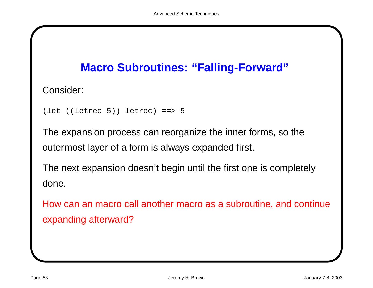### **Macro Subroutines: "Falling-Forward"**

Consider:

```
(let ((letrec 5)) letrec) ==> 5
```
The expansion process can reorganize the inner forms, so the outermost layer of <sup>a</sup> form is always expanded first.

The next expansion doesn't begin until the first one is completely done.

How can an macro call another macro as <sup>a</sup> subroutine, and continue expanding afterward?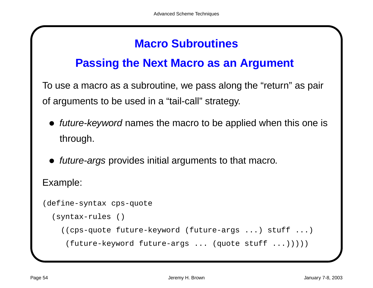### **Macro Subroutines**

#### **Passing the Next Macro as an Argument**

To use <sup>a</sup> macro as <sup>a</sup> subroutine, we pass along the "return" as pair of arguments to be used in <sup>a</sup> "tail-call" strategy.

- future-keyword names the macro to be applied when this one is through.
- *future-args* provides initial arguments to that macro.

Example:

(define-syntax cps-quote (syntax-rules () ((cps-quote future-keyword (future-args ...) stuff ...) (future-keyword future-args ... (quote stuff ...)))))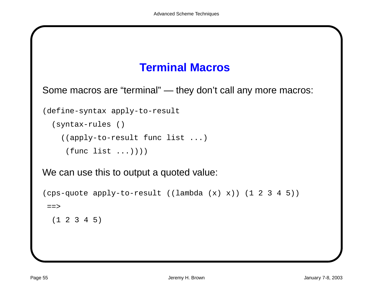### **Terminal Macros**

Some macros are "terminal" — they don't call any more macros:

(define-syntax apply-to-result

```
(syntax-rules ()
```
((apply-to-result func list ...)

```
(func list ...)))
```
We can use this to output a quoted value:

```
(cps-quote apply-to-result ((lambda (x) x)) (1 2 3 4 5))
==>
```

```
(1 2 3 4 5)
```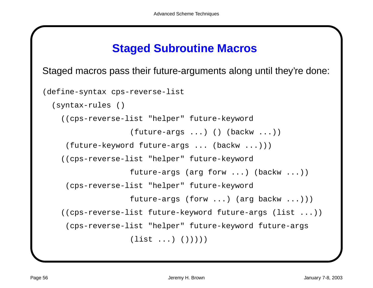#### **Staged Subroutine Macros**

Staged macros pass their future-arguments along until they're done:

```
(define-syntax cps-reverse-list
  (syntax-rules ()
    ((cps-reverse-list "helper" future-keyword
                   (future-args ...) () (backw ...))
     (future-keyword future-args ... (backw ...)))
    ((cps-reverse-list "helper" future-keyword
                   future-args (arg forw ...) (backw ...))
     (cps-reverse-list "helper" future-keyword
                   future-args (forw ...) (arg backw ...)))
    ((cps-reverse-list future-keyword future-args (list ...))
     (cps-reverse-list "helper" future-keyword future-args
                   (list ...)(())))
```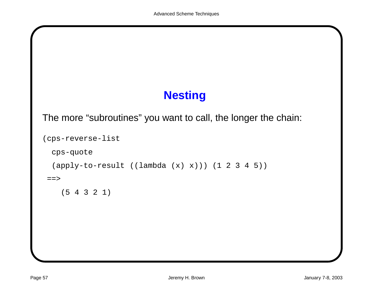# **Nesting**

The more "subroutines" you want to call, the longer the chain:

```
(cps-reverse-list
 cps-quote
  (apply-to-result ((lambda (x) x))) (1 2 3 4 5))
=
```
(5 4 3 2 1)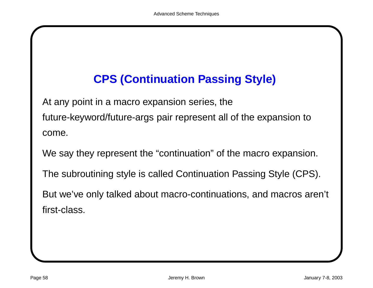# **CPS (Continuation Passing Style)**

At any point in <sup>a</sup> macro expansion series, the future-keyword/future-args pair represent all of the expansion to come.

We say they represent the "continuation" of the macro expansion.

The subroutining style is called Continuation Passing Style (CPS).

But we've only talked about macro-continuations, and macros aren't first-class.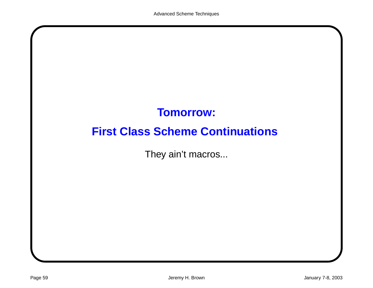# **Tomorrow:**

# **First Class Scheme Continuations**

They ain't macros...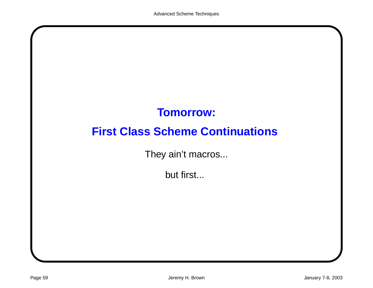# **Tomorrow:**

# **First Class Scheme Continuations**

They ain't macros...

but first...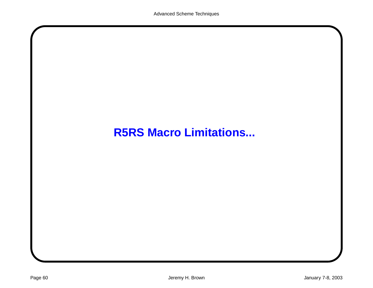### **R5RS Macro Limitations...**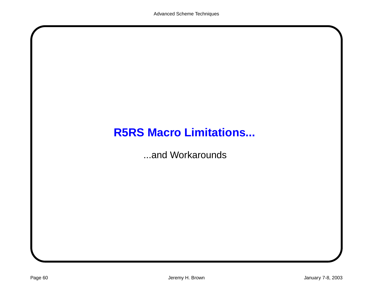# **R5RS Macro Limitations...**

...and Workarounds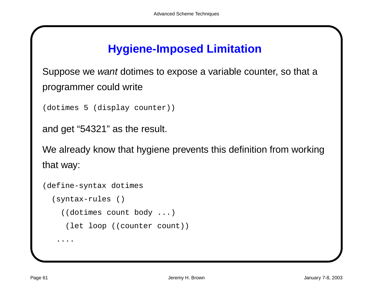### **Hygiene-Imposed Limitation**

Suppose we want dotimes to expose a variable counter, so that a programmer could write

```
(dotimes 5 (display counter))
```

```
and get "54321" as the result.
```
We already know that hygiene prevents this definition from working that way:

```
(define-syntax dotimes
  (syntax-rules ()
    ((dotimes count body ...)
     (let loop ((counter count))
   ....
```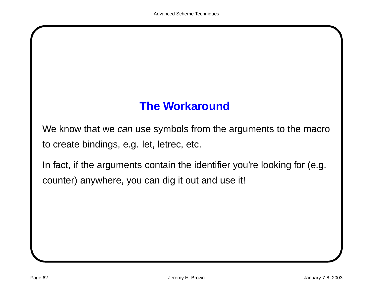#### **The Workaround**

We know that we can use symbols from the arguments to the macro to create bindings, e.g. let, letrec, etc.

In fact, if the arguments contain the identifier you're looking for (e.g. counter) anywhere, you can dig it out and use it!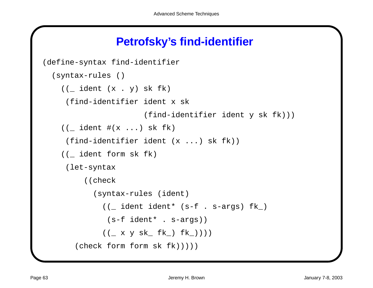#### **Petrofsky's find-identifier**

```
(define-syntax find-identifier
  (syntax-rules ()
    ((\underline{\hspace{1em}}\text{ident } (x \ . \ y) \text{ sk } f k))(find-identifier ident x sk
                          (find-identifier ident y sk fk)))
    ((\text{ident }#(x \dots) \text{ sk } f k))(find-identifier ident (x ...) sk fk))
    ((_ ident form sk fk)
      (let-syntax
          ((check
             (syntax-rules (ident)
               ((_ ident ident* (s-f . s-args) fk_)
                (s-f ident* . s-args))
               (( x y sk_ f k_) f k_) f k_))))
        (check form form sk fk)))))
```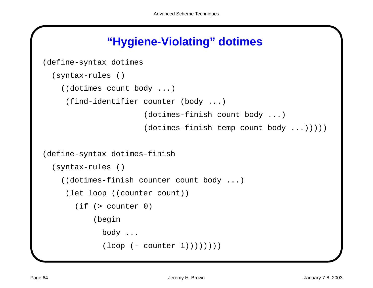### **"Hygiene-Violating" dotimes**

```
(define-syntax dotimes
  (syntax-rules ()
    ((dotimes count body ...)
     (find-identifier counter (body ...)
                       (dotimes-finish count body ...)
                       (dotimes-finish temp count body ...)))))
(define-syntax dotimes-finish
  (syntax-rules ()
    ((dotimes-finish counter count body ...)
     (let loop ((counter count))
       (if (> counter 0)
           (begin
             body ...
             (logo p (- counter 1)))))))
```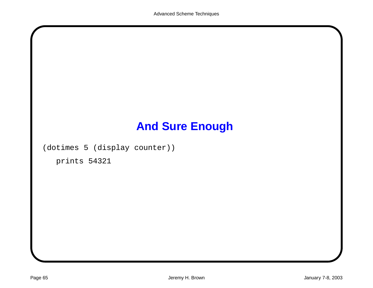# **And Sure Enough**

(dotimes 5 (display counter))

prints 54321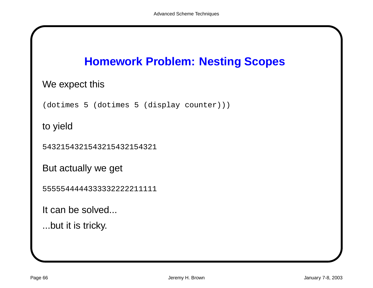

#### We expect this

(dotimes 5 (dotimes 5 (display counter)))

to yield

5432154321543215432154321

But actually we get

5555544444333332222211111

It can be solved...

...but it is tricky.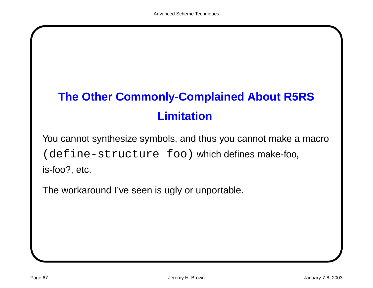## **The Other Commonly-Complained About R5RS Limitation**

You cannot synthesize symbols, and thus you cannot make <sup>a</sup> macro (define-structure foo) which defines make-foo, is-foo?, etc.

The workaround I've seen is ugly or unportable.